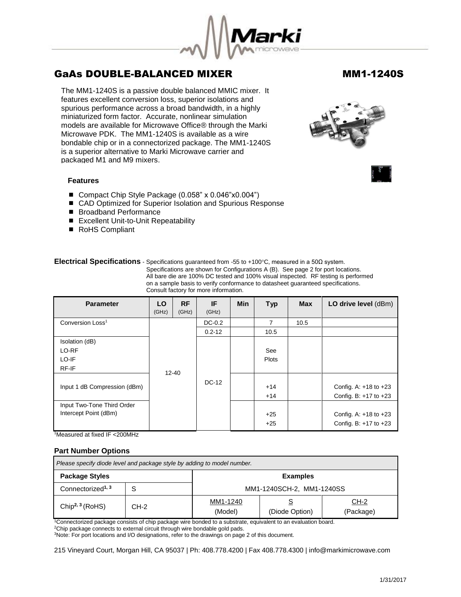

The MM1-1240S is a passive double balanced MMIC mixer. It features excellent conversion loss, superior isolations and spurious performance across a broad bandwidth, in a highly miniaturized form factor. Accurate, nonlinear simulation models are available for Microwave Office® through the Marki Microwave PDK. The MM1-1240S is available as a wire bondable chip or in a connectorized package. The MM1-1240S is a superior alternative to Marki Microwave carrier and packaged M1 and M9 mixers.

### **Features**

- Compact Chip Style Package (0.058" x 0.046"x0.004")
- CAD Optimized for Superior Isolation and Spurious Response
- Broadband Performance
- Excellent Unit-to-Unit Repeatability
- RoHS Compliant

## **Electrical Specifications** - Specifications guaranteed from -55 to +100°C, measured in a 50Ω system.

 Specifications are shown for Configurations A (B). See page 2 for port locations. All bare die are 100% DC tested and 100% visual inspected. RF testing is performed on a sample basis to verify conformance to datasheet guaranteed specifications. Consult factory for more information.

| <b>Parameter</b>                                    | LO.<br>(GHz) | <b>RF</b><br>(GHz) | IF<br>(GHz) | <b>Min</b> | <b>Typ</b>          | <b>Max</b> | LO drive level (dBm)                                   |
|-----------------------------------------------------|--------------|--------------------|-------------|------------|---------------------|------------|--------------------------------------------------------|
| Conversion Loss <sup>1</sup>                        |              |                    | $DC-0.2$    |            | 7                   | 10.5       |                                                        |
|                                                     |              |                    | $0.2 - 12$  |            | 10.5                |            |                                                        |
| Isolation (dB)<br>LO-RF<br>LO-IF<br>RF-IF           |              |                    |             |            | See<br><b>Plots</b> |            |                                                        |
| Input 1 dB Compression (dBm)                        | $12 - 40$    |                    | DC-12       |            | $+14$<br>$+14$      |            | Config. A: $+18$ to $+23$<br>Config. B: $+17$ to $+23$ |
| Input Two-Tone Third Order<br>Intercept Point (dBm) |              |                    |             |            | $+25$<br>$+25$      |            | Config. A: $+18$ to $+23$<br>Config. B: $+17$ to $+23$ |

<sup>1</sup>Measured at fixed IF <200MHz

## **Part Number Options**

| Please specify diode level and package style by adding to model number. |        |                           |                |                          |  |
|-------------------------------------------------------------------------|--------|---------------------------|----------------|--------------------------|--|
| <b>Package Styles</b>                                                   |        | <b>Examples</b>           |                |                          |  |
| Connectorized <sup>1, 3</sup>                                           |        | MM1-1240SCH-2, MM1-1240SS |                |                          |  |
| Chip <sup>2, 3</sup> (RoHS)                                             | $CH-2$ | MM1-1240<br>(Model)       | (Diode Option) | <u>CH-2</u><br>(Package) |  |

<sup>1</sup>Connectorized package consists of chip package wire bonded to a substrate, equivalent to an evaluation board.

<sup>2</sup>Chip package connects to external circuit through wire bondable gold pads.

<sup>3</sup>Note: For port locations and I/O designations, refer to the drawings on page 2 of this document.

215 Vineyard Court, Morgan Hill, CA 95037 | Ph: 408.778.4200 | Fax 408.778.4300 | info@markimicrowave.com

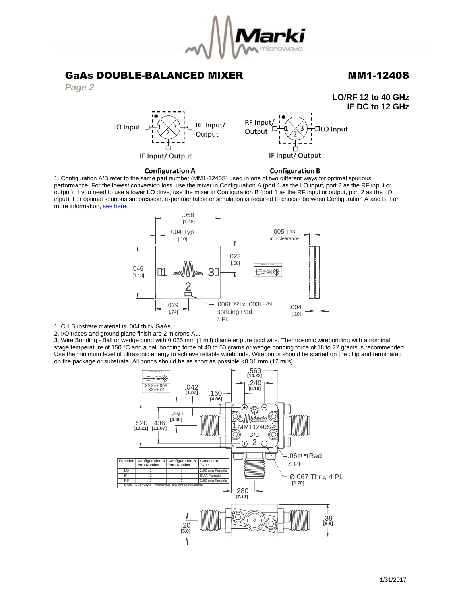

**LO/RF 12 to 40 GHz**



RF Input/ LO Input [ Output IF Input/Output



### **Configuration A**

## **Configuration B**

1. Configuration A/B refer to the same part number (MM1-1240S) used in one of two different ways for optimal spurious performance. For the lowest conversion loss, use the mixer in Configuration A (port 1 as the LO input, port 2 as the RF input or output). If you need to use a lower LO drive, use the mixer in Configuration B (port 1 as the RF input or output, port 2 as the LO input). For optimal spurious suppression, experimentation or simulation is required to choose between Configuration A and B. For more information[, see here.](http://www.markimicrowave.com/rf-microwave-qa/q/what-is-the-difference-between-configuration-a-and-configuration-b-on-mixers) 



1. CH Substrate material is .004 thick GaAs.

2. I/O traces and ground plane finish are 2 microns Au.

3. Wire Bonding - Ball or wedge bond with 0.025 mm (1 mil) diameter pure gold wire. Thermosonic wirebonding with a nominal stage temperature of 150 °C and a ball bonding force of 40 to 50 grams or wedge bonding force of 18 to 22 grams is recommended. Use the minimum level of ultrasonic energy to achieve reliable wirebonds. Wirebonds should be started on the chip and terminated on the package or substrate. All bonds should be as short as possible <0.31 mm (12 mils).

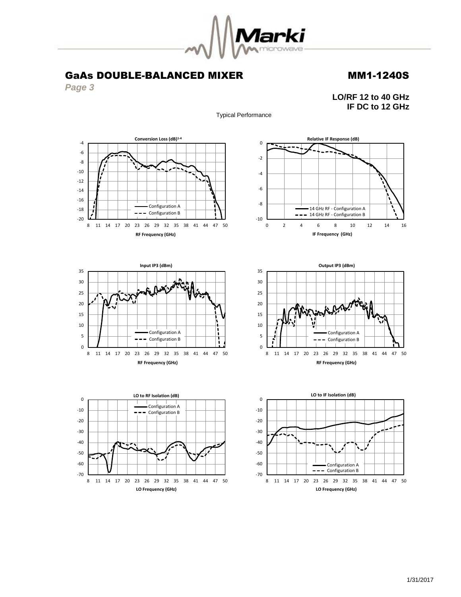

*Page 3*















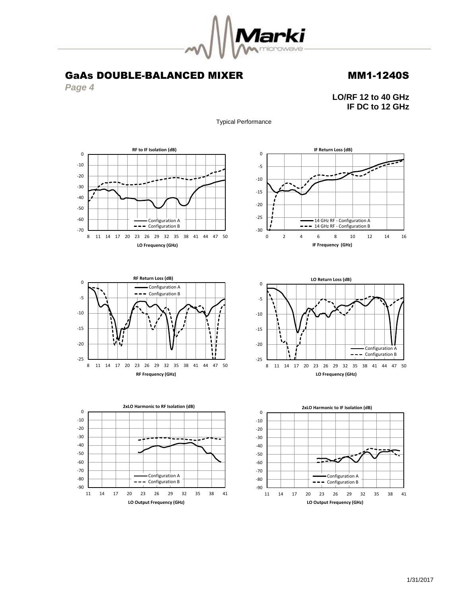

*Page 4*

**LO/RF 12 to 40 GHz IF DC to 12 GHz**













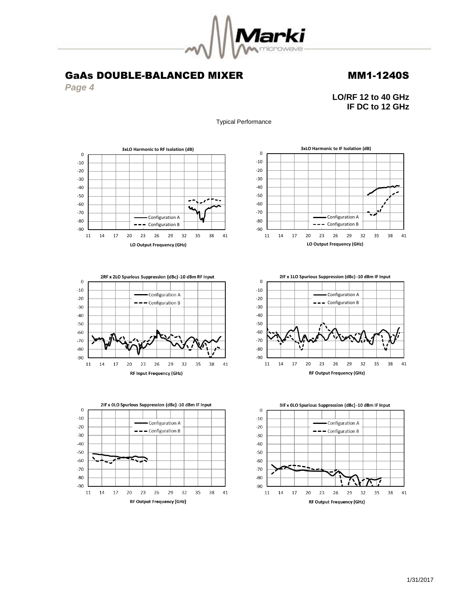

*Page 4*

**LO/RF 12 to 40 GHz IF DC to 12 GHz**

Typical Performance











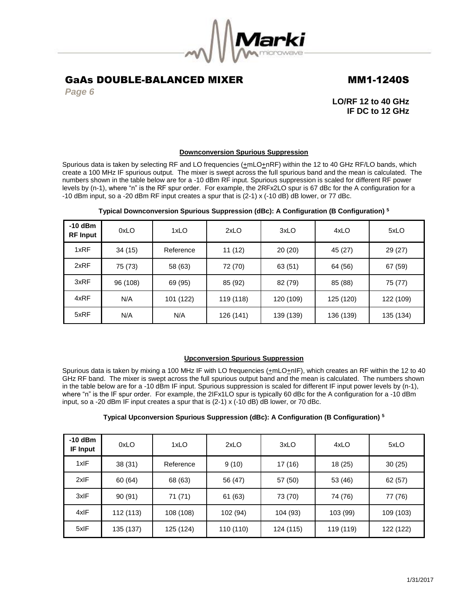

*Page 6*

**LO/RF 12 to 40 GHz IF DC to 12 GHz**

## **Downconversion Spurious Suppression**

Spurious data is taken by selecting RF and LO frequencies ( $\pm$ mLO $\pm$ nRF) within the 12 to 40 GHz RF/LO bands, which create a 100 MHz IF spurious output. The mixer is swept across the full spurious band and the mean is calculated. The numbers shown in the table below are for a -10 dBm RF input. Spurious suppression is scaled for different RF power levels by (n-1), where "n" is the RF spur order. For example, the 2RFx2LO spur is 67 dBc for the A configuration for a -10 dBm input, so a -20 dBm RF input creates a spur that is (2-1) x (-10 dB) dB lower, or 77 dBc.

| $-10$ dBm<br><b>RF</b> Input | 0xLO     | 1xLO      | 2xLO      | 3xLO      | 4xLO      | 5xLO      |
|------------------------------|----------|-----------|-----------|-----------|-----------|-----------|
| 1xRF                         | 34 (15)  | Reference | 11(12)    | 20(20)    | 45 (27)   | 29 (27)   |
| 2xRF                         | 75 (73)  | 58 (63)   | 72 (70)   | 63 (51)   | 64 (56)   | 67 (59)   |
| 3xRF                         | 96 (108) | 69 (95)   | 85 (92)   | 82 (79)   | 85 (88)   | 75 (77)   |
| 4xRF                         | N/A      | 101 (122) | 119 (118) | 120 (109) | 125 (120) | 122 (109) |
| 5xRF                         | N/A      | N/A       | 126 (141) | 139 (139) | 136 (139) | 135 (134) |

## **Typical Downconversion Spurious Suppression (dBc): A Configuration (B Configuration) <sup>5</sup>**

### **Upconversion Spurious Suppression**

Spurious data is taken by mixing a 100 MHz IF with LO frequencies ( $\pm$ mLO $\pm$ nIF), which creates an RF within the 12 to 40 GHz RF band. The mixer is swept across the full spurious output band and the mean is calculated. The numbers shown in the table below are for a -10 dBm IF input. Spurious suppression is scaled for different IF input power levels by (n-1), where "n" is the IF spur order. For example, the 2IFx1LO spur is typically 60 dBc for the A configuration for a -10 dBm input, so a -20 dBm IF input creates a spur that is (2-1) x (-10 dB) dB lower, or 70 dBc.

## **Typical Upconversion Spurious Suppression (dBc): A Configuration (B Configuration) <sup>5</sup>**

| $-10$ dBm<br><b>IF Input</b> | 0xLO      | 1xLO      | 2xLO      | 3xLO      | 4xLO      | 5xLO      |
|------------------------------|-----------|-----------|-----------|-----------|-----------|-----------|
| 1xIF                         | 38(31)    | Reference | 9(10)     | 17 (16)   | 18 (25)   | 30(25)    |
| 2xIF                         | 60 (64)   | 68 (63)   | 56 (47)   | 57 (50)   | 53 (46)   | 62(57)    |
| 3xIF                         | 90(91)    | 71 (71)   | 61 (63)   | 73 (70)   | 74 (76)   | 77 (76)   |
| 4xIF                         | 112 (113) | 108 (108) | 102 (94)  | 104 (93)  | 103 (99)  | 109 (103) |
| 5xIF                         | 135 (137) | 125 (124) | 110 (110) | 124 (115) | 119 (119) | 122 (122) |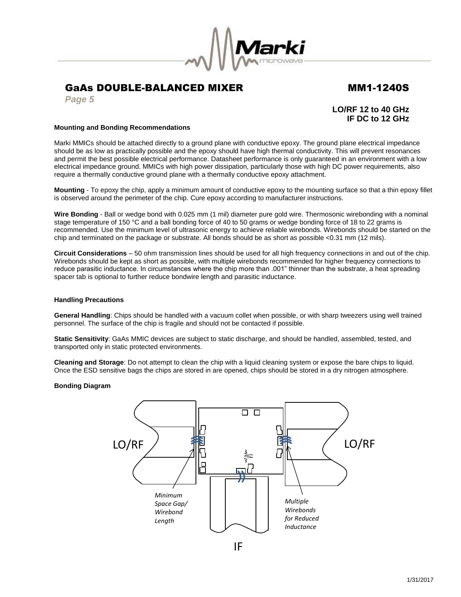

*Page 5*

**LO/RF 12 to 40 GHz IF DC to 12 GHz**

### **Mounting and Bonding Recommendations**

Marki MMICs should be attached directly to a ground plane with conductive epoxy. The ground plane electrical impedance should be as low as practically possible and the epoxy should have high thermal conductivity. This will prevent resonances and permit the best possible electrical performance. Datasheet performance is only guaranteed in an environment with a low electrical impedance ground. MMICs with high power dissipation, particularly those with high DC power requirements, also require a thermally conductive ground plane with a thermally conductive epoxy attachment.

**Mounting** - To epoxy the chip, apply a minimum amount of conductive epoxy to the mounting surface so that a thin epoxy fillet is observed around the perimeter of the chip. Cure epoxy according to manufacturer instructions.

**Wire Bonding** - Ball or wedge bond with 0.025 mm (1 mil) diameter pure gold wire. Thermosonic wirebonding with a nominal stage temperature of 150 °C and a ball bonding force of 40 to 50 grams or wedge bonding force of 18 to 22 grams is recommended. Use the minimum level of ultrasonic energy to achieve reliable wirebonds. Wirebonds should be started on the chip and terminated on the package or substrate. All bonds should be as short as possible <0.31 mm (12 mils).

**Circuit Considerations** – 50 ohm transmission lines should be used for all high frequency connections in and out of the chip. Wirebonds should be kept as short as possible, with multiple wirebonds recommended for higher frequency connections to reduce parasitic inductance. In circumstances where the chip more than .001" thinner than the substrate, a heat spreading spacer tab is optional to further reduce bondwire length and parasitic inductance.

### **Handling Precautions**

**General Handling**: Chips should be handled with a vacuum collet when possible, or with sharp tweezers using well trained personnel. The surface of the chip is fragile and should not be contacted if possible.

**Static Sensitivity**: GaAs MMIC devices are subject to static discharge, and should be handled, assembled, tested, and transported only in static protected environments.

**Cleaning and Storage**: Do not attempt to clean the chip with a liquid cleaning system or expose the bare chips to liquid. Once the ESD sensitive bags the chips are stored in are opened, chips should be stored in a dry nitrogen atmosphere.

### **Bonding Diagram**